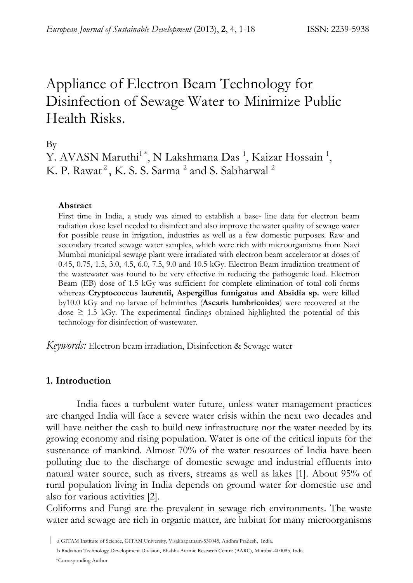# Appliance of Electron Beam Technology for Disinfection of Sewage Water to Minimize Public Health Risks.

By

Y. AVASN Maruthi<sup>1</sup>\*, N Lakshmana Das<sup>1</sup>, Kaizar Hossain<sup>1</sup>, K. P. Rawat<sup>2</sup>, K. S. S. Sarma<sup>2</sup> and S. Sabharwal<sup>2</sup>

#### **Abstract**

First time in India, a study was aimed to establish a base- line data for electron beam radiation dose level needed to disinfect and also improve the water quality of sewage water for possible reuse in irrigation, industries as well as a few domestic purposes. Raw and secondary treated sewage water samples, which were rich with microorganisms from Navi Mumbai municipal sewage plant were irradiated with electron beam accelerator at doses of 0.45, 0.75, 1.5, 3.0, 4.5, 6.0, 7.5, 9.0 and 10.5 kGy. Electron Beam irradiation treatment of the wastewater was found to be very effective in reducing the pathogenic load. Electron Beam (EB) dose of 1.5 kGy was sufficient for complete elimination of total coli forms whereas **Cryptococcus laurentii, Aspergillus fumigatus and Absidia sp.** were killed by10.0 kGy and no larvae of helminthes (**Ascaris lumbricoides**) were recovered at the dose  $\geq$  1.5 kGy. The experimental findings obtained highlighted the potential of this technology for disinfection of wastewater.

*Keywords:* Electron beam irradiation, Disinfection & Sewage water

#### **1. Introduction**

India faces a turbulent water future, unless water management practices are changed India will face a severe water crisis within the next two decades and will have neither the cash to build new infrastructure nor the water needed by its growing economy and rising population. Water is one of the critical inputs for the sustenance of mankind. Almost 70% of the water resources of India have been polluting due to the discharge of domestic sewage and industrial effluents into natural water source, such as rivers, streams as well as lakes [1]. About 95% of rural population living in India depends on ground water for domestic use and also for various activities [2].

Coliforms and Fungi are the prevalent in sewage rich environments. The waste water and sewage are rich in organic matter, are habitat for many microorganisms

| a GITAM Institute of Science, GITAM University, Visakhapatnam-530045, Andhra Pradesh, India. b Radiation Technology Development Division, Bhabha Atomic Research Centre (BARC), Mumbai-400085, India \*Corresponding Author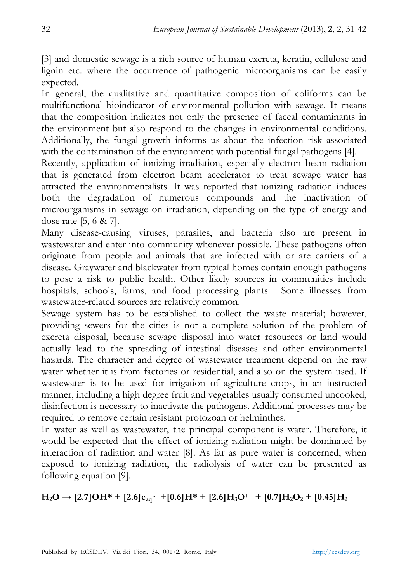[3] and domestic sewage is a rich source of human excreta, keratin, cellulose and lignin etc. where the occurrence of pathogenic microorganisms can be easily expected.

In general, the qualitative and quantitative composition of coliforms can be multifunctional bioindicator of environmental pollution with sewage. It means that the composition indicates not only the presence of faecal contaminants in the environment but also respond to the changes in environmental conditions. Additionally, the fungal growth informs us about the infection risk associated with the contamination of the environment with potential fungal pathogens [4].

Recently, application of ionizing irradiation, especially electron beam radiation that is generated from electron beam accelerator to treat sewage water has attracted the environmentalists. It was reported that ionizing radiation induces both the degradation of numerous compounds and the inactivation of microorganisms in sewage on irradiation, depending on the type of energy and dose rate [5, 6 & 7].

Many disease-causing viruses, parasites, and bacteria also are present in wastewater and enter into community whenever possible. These pathogens often originate from people and animals that are infected with or are carriers of a disease. Graywater and blackwater from typical homes contain enough pathogens to pose a risk to public health. Other likely sources in communities include hospitals, schools, farms, and food processing plants. Some illnesses from wastewater-related sources are relatively common.

Sewage system has to be established to collect the waste material; however, providing sewers for the cities is not a complete solution of the problem of excreta disposal, because sewage disposal into water resources or land would actually lead to the spreading of intestinal diseases and other environmental hazards. The character and degree of wastewater treatment depend on the raw water whether it is from factories or residential, and also on the system used. If wastewater is to be used for irrigation of agriculture crops, in an instructed manner, including a high degree fruit and vegetables usually consumed uncooked, disinfection is necessary to inactivate the pathogens. Additional processes may be required to remove certain resistant protozoan or helminthes.

In water as well as wastewater, the principal component is water. Therefore, it would be expected that the effect of ionizing radiation might be dominated by interaction of radiation and water [8]. As far as pure water is concerned, when exposed to ionizing radiation, the radiolysis of water can be presented as following equation [9].

# $\rm H_2O \rightarrow [2.7]OH* + [2.6]e_{aq}$   $\rm \cdot +[0.6]H* + [2.6]H_3O^+$   $\rm \ +[0.7]H_2O_2 + [0.45]H_2$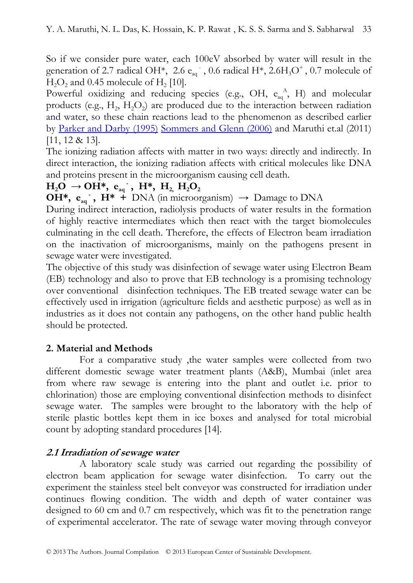So if we consider pure water, each 100eV absorbed by water will result in the generation of 2.7 radical OH\*, 2.6  $e_{aq}^-$ , 0.6 radical H\*, 2.6H<sub>3</sub>O<sup>+</sup>, 0.7 molecule of  $H<sub>2</sub>O<sub>2</sub>$  and 0.45 molecule of  $H<sub>2</sub>$  [10].

Powerful oxidizing and reducing species (e.g., OH,  $e_{aq}^A$ , H) and molecular products (e.g.,  $H_2$ ,  $H_3O_2$ ) are produced due to the interaction between radiation and water, so these chain reactions lead to the phenomenon as described earlier by Parker and Darby (1995) Sommers and Glenn (2006) and Maruthi et.al (2011) [11, 12 & 13].

The ionizing radiation affects with matter in two ways: directly and indirectly. In direct interaction, the ionizing radiation affects with critical molecules like DNA and proteins present in the microorganism causing cell death.

# $H_2O \rightarrow OH^*$ ,  $e_{aq}^-$ ,  $H^*$ ,  $H_{2}$ ,  $H_2O_2$

**OH\*, e<sub>aq</sub>**,  $H^*$  + **DNA** (in microorganism)  $\rightarrow$  Damage to DNA

During indirect interaction, radiolysis products of water results in the formation of highly reactive intermediates which then react with the target biomolecules culminating in the cell death. Therefore, the effects of Electron beam irradiation on the inactivation of microorganisms, mainly on the pathogens present in sewage water were investigated.

The objective of this study was disinfection of sewage water using Electron Beam (EB) technology and also to prove that EB technology is a promising technology over conventional disinfection techniques. The EB treated sewage water can be effectively used in irrigation (agriculture fields and aesthetic purpose) as well as in industries as it does not contain any pathogens, on the other hand public health should be protected.

# **2. Material and Methods**

 For a comparative study ,the water samples were collected from two different domestic sewage water treatment plants (A&B), Mumbai (inlet area from where raw sewage is entering into the plant and outlet i.e. prior to chlorination) those are employing conventional disinfection methods to disinfect sewage water. The samples were brought to the laboratory with the help of sterile plastic bottles kept them in ice boxes and analysed for total microbial count by adopting standard procedures [14].

# **2.1 Irradiation of sewage water**

 A laboratory scale study was carried out regarding the possibility of electron beam application for sewage water disinfection. To carry out the experiment the stainless steel belt conveyor was constructed for irradiation under continues flowing condition. The width and depth of water container was designed to 60 cm and 0.7 cm respectively, which was fit to the penetration range of experimental accelerator. The rate of sewage water moving through conveyor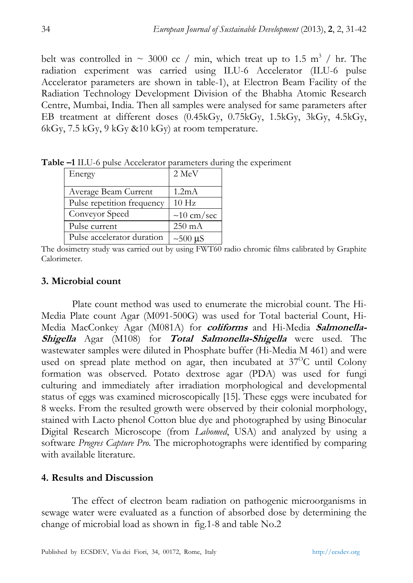belt was controlled in  $\sim$  3000 cc / min, which treat up to 1.5 m<sup>3</sup> / hr. The radiation experiment was carried using ILU-6 Accelerator (ILU-6 pulse Accelerator parameters are shown in table-1), at Electron Beam Facility of the Radiation Technology Development Division of the Bhabha Atomic Research Centre, Mumbai, India. Then all samples were analysed for same parameters after EB treatment at different doses (0.45kGy, 0.75kGy, 1.5kGy, 3kGy, 4.5kGy, 6kGy, 7.5 kGy, 9 kGy &10 kGy) at room temperature.

| Energy                     | $2 \text{ MeV}$    |
|----------------------------|--------------------|
| Average Beam Current       | 1.2 <sub>m</sub> A |
| Pulse repetition frequency | 10 <sub>Hz</sub>   |
| Conveyor Speed             | $\sim$ 10 cm/sec   |
| Pulse current              | $250 \text{ mA}$   |
| Pulse accelerator duration | $\sim$ 500 µS      |

**Table –1** ILU-6 pulse Accelerator parameters during the experiment

The dosimetry study was carried out by using FWT60 radio chromic films calibrated by Graphite Calorimeter.

#### **3. Microbial count**

Plate count method was used to enumerate the microbial count. The Hi-Media Plate count Agar (M091-500G) was used for Total bacterial Count, Hi-Media MacConkey Agar (M081A) for **coliforms** and Hi-Media **Salmonella-Shigella** Agar (M108) for **Total Salmonella-Shigella** were used. The wastewater samples were diluted in Phosphate buffer (Hi-Media M 461) and were used on spread plate method on agar, then incubated at  $37^{\circ}$ C until Colony formation was observed. Potato dextrose agar (PDA) was used for fungi culturing and immediately after irradiation morphological and developmental status of eggs was examined microscopically [15]. These eggs were incubated for 8 weeks. From the resulted growth were observed by their colonial morphology, stained with Lacto phenol Cotton blue dye and photographed by using Binocular Digital Research Microscope (from *Labomed*, USA) and analyzed by using a software *Progres Capture Pro.* The microphotographs were identified by comparing with available literature.

### **4. Results and Discussion**

The effect of electron beam radiation on pathogenic microorganisms in sewage water were evaluated as a function of absorbed dose by determining the change of microbial load as shown in fig.1-8 and table No.2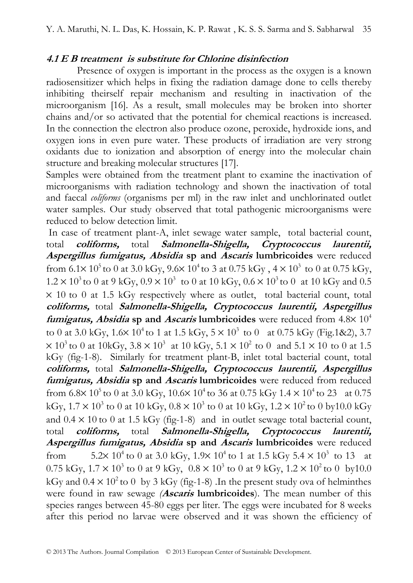#### **4.1 E B treatment is substitute for Chlorine disinfection**

Presence of oxygen is important in the process as the oxygen is a known radiosensitizer which helps in fixing the radiation damage done to cells thereby inhibiting theirself repair mechanism and resulting in inactivation of the microorganism [16]. As a result, small molecules may be broken into shorter chains and/or so activated that the potential for chemical reactions is increased. In the connection the electron also produce ozone, peroxide, hydroxide ions, and oxygen ions in even pure water. These products of irradiation are very strong oxidants due to ionization and absorption of energy into the molecular chain structure and breaking molecular structures [17].

Samples were obtained from the treatment plant to examine the inactivation of microorganisms with radiation technology and shown the inactivation of total and faecal *coliforms* (organisms per ml) in the raw inlet and unchlorinated outlet water samples. Our study observed that total pathogenic microorganisms were reduced to below detection limit.

 In case of treatment plant-A, inlet sewage water sample, total bacterial count, total **coliforms,** total **Salmonella-Shigella, Cryptococcus laurentii, Aspergillus fumigatus, Absidia sp and Ascaris lumbricoides** were reduced from  $6.1 \times 10^5$  to 0 at 3.0 kGy,  $9.6 \times 10^4$  to 3 at 0.75 kGy,  $4 \times 10^3$  to 0 at 0.75 kGy,  $1.2 \times 10^3$  to 0 at 9 kGy,  $0.9 \times 10^3$  to 0 at 10 kGy,  $0.6 \times 10^3$  to 0 at 10 kGy and 0.5 × 10 to 0 at 1.5 kGy respectively where as outlet, total bacterial count, total **coliforms,** total **Salmonella-Shigella, Cryptococcus laurentii, Aspergillus fumigatus, Absidia sp and Ascaris lumbricoides** were reduced from  $4.8 \times 10^4$ to 0 at 3.0 kGy,  $1.6 \times 10^4$  to 1 at 1.5 kGy,  $5 \times 10^3$  to 0 at 0.75 kGy (Fig.1&2), 3.7  $\times$  10<sup>3</sup> to 0 at 10kGy, 3.8  $\times$  10<sup>3</sup> at 10 kGy, 5.1  $\times$  10<sup>2</sup> to 0 and 5.1  $\times$  10 to 0 at 1.5 kGy (fig-1-8). Similarly for treatment plant-B, inlet total bacterial count, total **coliforms,** total **Salmonella-Shigella, Cryptococcus laurentii, Aspergillus fumigatus, Absidia sp and Ascaris lumbricoides** were reduced from reduced from  $6.8 \times 10^5$  to 0 at 3.0 kGy,  $10.6 \times 10^4$  to 36 at 0.75 kGy  $1.4 \times 10^4$  to 23 at 0.75 kGy,  $1.7 \times 10^3$  to 0 at 10 kGy,  $0.8 \times 10^3$  to 0 at 10 kGy,  $1.2 \times 10^2$  to 0 by10.0 kGy and  $0.4 \times 10$  to 0 at 1.5 kGy (fig-1-8) and in outlet sewage total bacterial count, total **coliforms,** total **Salmonella-Shigella, Cryptococcus laurentii, Aspergillus fumigatus, Absidia sp and Ascaris lumbricoides** were reduced from  $5.2 \times 10^4$  to 0 at 3.0 kGy,  $1.9 \times 10^4$  to 1 at 1.5 kGy 5.4  $\times 10^3$  to 13 at 0.75 kGy,  $1.7 \times 10^3$  to 0 at 9 kGy,  $0.8 \times 10^3$  to 0 at 9 kGy,  $1.2 \times 10^2$  to 0 by10.0 kGy and  $0.4 \times 10^2$  to 0 by 3 kGy (fig-1-8). In the present study ova of helminthes were found in raw sewage *(***Ascaris lumbricoides**). The mean number of this species ranges between  $45-80$  eggs per liter. The eggs were incubated for 8 weeks after this period no larvae were observed and it was shown the efficiency of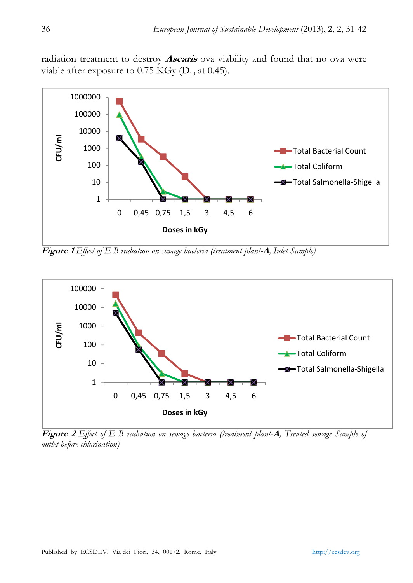radiation treatment to destroy **Ascaris** ova viability and found that no ova were viable after exposure to 0.75 KGy  $(D_{10}$  at 0.45).



**Figure 1** *Effect of E B radiation on sewage bacteria (treatment plant-***A***, Inlet Sample)* 



**Figure 2** *Effect of E B radiation on sewage bacteria (treatment plant-***A***, Treated sewage Sample of outlet before chlorination)*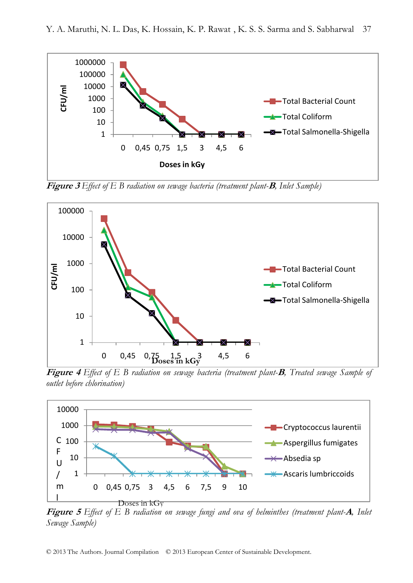

**Figure 3** *Effect of E B radiation on sewage bacteria (treatment plant-***B***, Inlet Sample)* 



**Figure 4** *Effect of E B radiation on sewage bacteria (treatment plant-***B***, Treated sewage Sample of outlet before chlorination)* 



**Figure 5** *Effect of E B radiation on sewage fungi and ova of helminthes (treatment plant-***A***, Inlet Sewage Sample)*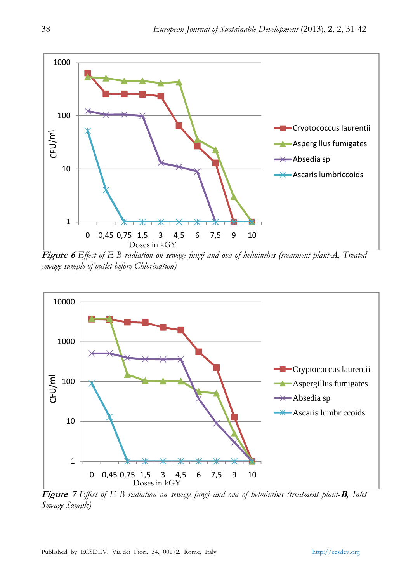

**Figure 6** *Effect of E B radiation on sewage fungi and ova of helminthes (treatment plant-***A***, Treated sewage sample of outlet before Chlorination)* 



**Figure 7** *Effect of E B radiation on sewage fungi and ova of helminthes (treatment plant-***B***, Inlet Sewage Sample)*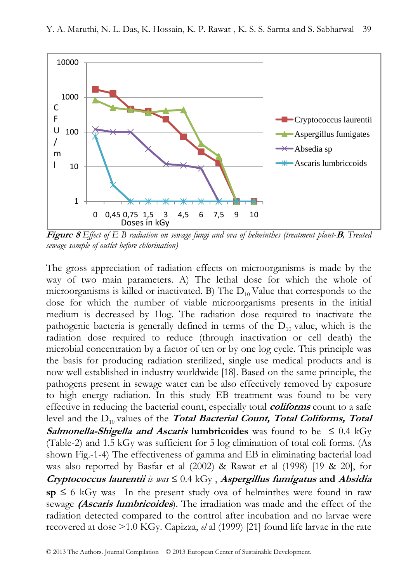

**Figure 8** *Effect of E B radiation on sewage fungi and ova of helminthes (treatment plant-***B***, Treated sewage sample of outlet before chlorination)* 

The gross appreciation of radiation effects on microorganisms is made by the way of two main parameters. A) The lethal dose for which the whole of microorganisms is killed or inactivated. B) The  $D_{10}$  Value that corresponds to the dose for which the number of viable microorganisms presents in the initial medium is decreased by 1log. The radiation dose required to inactivate the pathogenic bacteria is generally defined in terms of the  $D_{10}$  value, which is the radiation dose required to reduce (through inactivation or cell death) the microbial concentration by a factor of ten or by one log cycle. This principle was the basis for producing radiation sterilized, single use medical products and is now well established in industry worldwide [18]. Based on the same principle, the pathogens present in sewage water can be also effectively removed by exposure to high energy radiation. In this study EB treatment was found to be very effective in reducing the bacterial count, especially total **coliforms** count to a safe level and the D<sub>10</sub> values of the **Total Bacterial Count, Total Coliforms, Total Salmonella-Shigella and Ascaris lumbricoides** was found to be  $\leq 0.4$  kGy (Table-2) and 1.5 kGy was sufficient for 5 log elimination of total coli forms. (As shown Fig.-1-4) The effectiveness of gamma and EB in eliminating bacterial load was also reported by Basfar et al (2002) & Rawat et al (1998) [19 & 20], for **Cryptococcus laurentii** is was  $\leq 0.4$  kGy, *Aspergillus fumigatus* and *Absidia*  $sp \leq 6$  kGy was In the present study ova of helminthes were found in raw sewage **(Ascaris lumbricoides**). The irradiation was made and the effect of the radiation detected compared to the control after incubation and no larvae were recovered at dose >1.0 KGy. Capizza, *el* al (1999) [21] found life larvae in the rate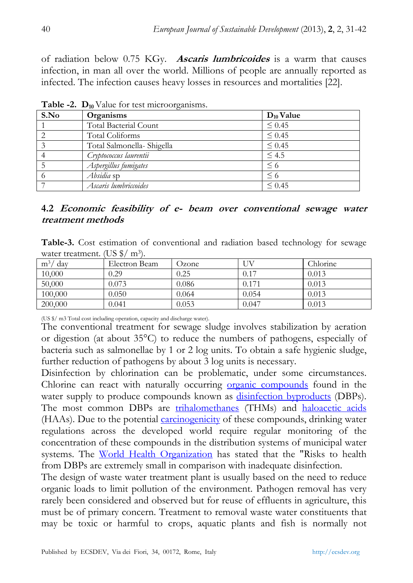of radiation below 0.75 KGy. **Ascaris lumbricoides** is a warm that causes infection, in man all over the world. Millions of people are annually reported as infected. The infection causes heavy losses in resources and mortalities [22].

| S.No | Organisms                  | $D_{10}$ Value |  |  |
|------|----------------------------|----------------|--|--|
|      | Total Bacterial Count      | $\leq 0.45$    |  |  |
| 2    | Total Coliforms            | $\leq 0.45$    |  |  |
|      | Total Salmonella- Shigella | $\leq 0.45$    |  |  |
|      | Cryptococcus laurentii     | $\leq 4.5$     |  |  |
|      | Aspergillus fumigates      | $\leq 6$       |  |  |
| -6   | Absidia sp                 | $\leq 6$       |  |  |
|      | Ascaris lumbriccoides      | $\leq 0.45$    |  |  |

**Table -2. D<sub>10</sub>** Value for test microorganisms.

#### **4.2 Economic feasibility of e- beam over conventional sewage water treatment methods**

**Table-3.** Cost estimation of conventional and radiation based technology for sewage water treatment. (US  $\frac{1}{2}$ / m<sup>3</sup>).

| m <sup>3</sup><br>dav | Electron Beam | Ozone |       | Chlorine |
|-----------------------|---------------|-------|-------|----------|
| 10,000                | 0.29          | 0.25  | 0.17  | 0.013    |
| 50,000                | 0.073         | 9.086 | 0.171 | 0.013    |
| 100,000               | 0.050         | 0.064 | 0.054 | 0.013    |
| 200,000               | 0.041         | 0.053 | 0.047 | 0.013    |

(US \$/ m3 Total cost including operation, capacity and discharge water).

The conventional treatment for sewage sludge involves stabilization by aeration or digestion (at about 35°C) to reduce the numbers of pathogens, especially of bacteria such as salmonellae by 1 or 2 log units. To obtain a safe hygienic sludge, further reduction of pathogens by about 3 log units is necessary.

Disinfection by chlorination can be problematic, under some circumstances. Chlorine can react with naturally occurring organic compounds found in the water supply to produce compounds known as disinfection byproducts (DBPs). The most common DBPs are trihalomethanes (THMs) and haloacetic acids (HAAs). Due to the potential *carcinogenicity* of these compounds, drinking water regulations across the developed world require regular monitoring of the concentration of these compounds in the distribution systems of municipal water systems. The World Health Organization has stated that the "Risks to health from DBPs are extremely small in comparison with inadequate disinfection.

The design of waste water treatment plant is usually based on the need to reduce organic loads to limit pollution of the environment. Pathogen removal has very rarely been considered and observed but for reuse of effluents in agriculture, this must be of primary concern. Treatment to removal waste water constituents that may be toxic or harmful to crops, aquatic plants and fish is normally not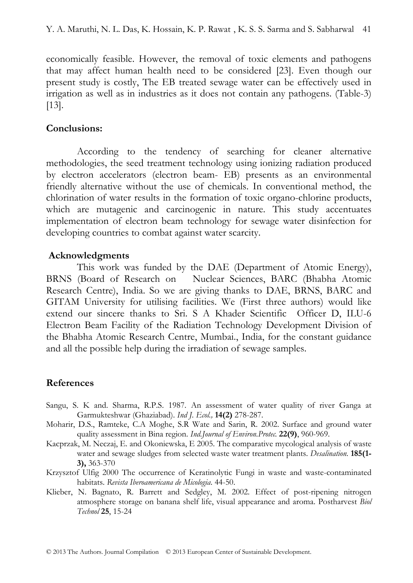economically feasible. However, the removal of toxic elements and pathogens that may affect human health need to be considered [23]. Even though our present study is costly, The EB treated sewage water can be effectively used in irrigation as well as in industries as it does not contain any pathogens. (Table-3) [13].

#### **Conclusions:**

According to the tendency of searching for cleaner alternative methodologies, the seed treatment technology using ionizing radiation produced by electron accelerators (electron beam- EB) presents as an environmental friendly alternative without the use of chemicals. In conventional method, the chlorination of water results in the formation of toxic organo-chlorine products, which are mutagenic and carcinogenic in nature. This study accentuates implementation of electron beam technology for sewage water disinfection for developing countries to combat against water scarcity.

#### **Acknowledgments**

This work was funded by the DAE (Department of Atomic Energy), BRNS (Board of Research on Nuclear Sciences, BARC (Bhabha Atomic Research Centre), India. So we are giving thanks to DAE, BRNS, BARC and GITAM University for utilising facilities. We (First three authors) would like extend our sincere thanks to Sri. S A Khader Scientific Officer D, ILU-6 Electron Beam Facility of the Radiation Technology Development Division of the Bhabha Atomic Research Centre, Mumbai., India, for the constant guidance and all the possible help during the irradiation of sewage samples.

#### **References**

- Sangu, S. K and. Sharma, R.P.S. 1987. An assessment of water quality of river Ganga at Garmukteshwar (Ghaziabad). *Ind J. Ecol.,* **14(2)** 278-287.
- Moharir, D.S., Ramteke, C.A Moghe, S.R Wate and Sarin, R. 2002. Surface and ground water quality assessment in Bina region. *Ind.Journal of Environ.Protec.* **22(9)**, 960-969.
- Kacprzak, M. Neczaj, E. and Okoniewska, E 2005. The comparative mycological analysis of waste water and sewage sludges from selected waste water treatment plants. *Desalination.* **185(1- 3),** 363-370
- Krzysztof Ulfig 2000 The occurrence of Keratinolytic Fungi in waste and waste-contaminated habitats. *Revista Iberoamericana de Micologia*. 44-50.
- Klieber, N. Bagnato, R. Barrett and Sedgley, M. 2002. Effect of post-ripening nitrogen atmosphere storage on banana shelf life, visual appearance and aroma. Postharvest *Biol Technol* **25**, 15-24